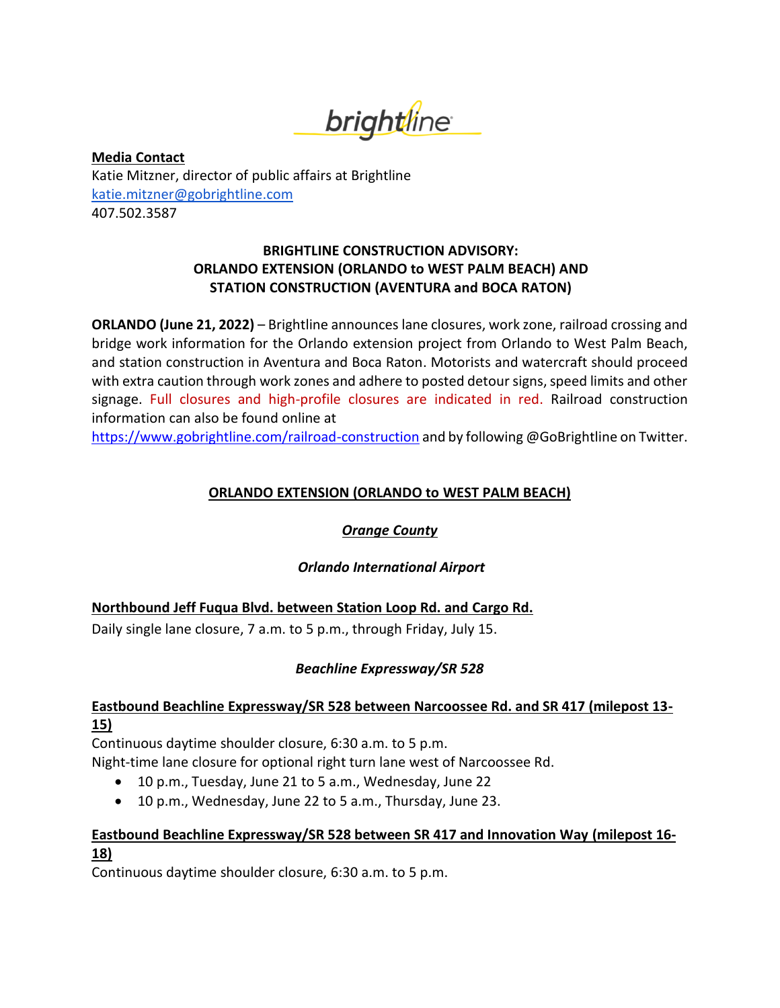*brightline* 

**Media Contact** Katie Mitzner, director of public affairs at Brightline [katie.mitzner@gobrightline.com](mailto:katie.mitzner@gobrightline.com) 407.502.3587

### **BRIGHTLINE CONSTRUCTION ADVISORY: ORLANDO EXTENSION (ORLANDO to WEST PALM BEACH) AND STATION CONSTRUCTION (AVENTURA and BOCA RATON)**

**ORLANDO (June 21, 2022)** – Brightline announces lane closures, work zone, railroad crossing and bridge work information for the Orlando extension project from Orlando to West Palm Beach, and station construction in Aventura and Boca Raton. Motorists and watercraft should proceed with extra caution through work zones and adhere to posted detour signs, speed limits and other signage. Full closures and high-profile closures are indicated in red. Railroad construction information can also be found online at

<https://www.gobrightline.com/railroad-construction> and by following @GoBrightline on Twitter.

# **ORLANDO EXTENSION (ORLANDO to WEST PALM BEACH)**

### *Orange County*

### *Orlando International Airport*

# **Northbound Jeff Fuqua Blvd. between Station Loop Rd. and Cargo Rd.**

Daily single lane closure, 7 a.m. to 5 p.m., through Friday, July 15.

# *Beachline Expressway/SR 528*

### **Eastbound Beachline Expressway/SR 528 between Narcoossee Rd. and SR 417 (milepost 13- 15)**

Continuous daytime shoulder closure, 6:30 a.m. to 5 p.m.

Night-time lane closure for optional right turn lane west of Narcoossee Rd.

- 10 p.m., Tuesday, June 21 to 5 a.m., Wednesday, June 22
- 10 p.m., Wednesday, June 22 to 5 a.m., Thursday, June 23.

### **Eastbound Beachline Expressway/SR 528 between SR 417 and Innovation Way (milepost 16- 18)**

Continuous daytime shoulder closure, 6:30 a.m. to 5 p.m.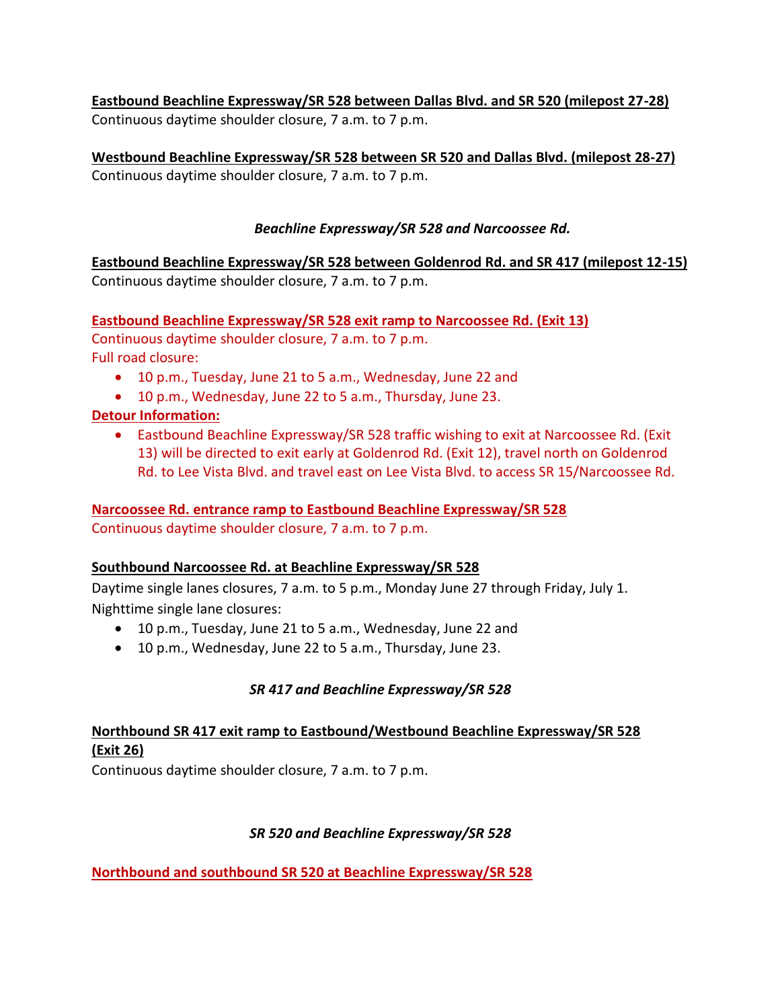**Eastbound Beachline Expressway/SR 528 between Dallas Blvd. and SR 520 (milepost 27-28)** Continuous daytime shoulder closure, 7 a.m. to 7 p.m.

**Westbound Beachline Expressway/SR 528 between SR 520 and Dallas Blvd. (milepost 28-27)** Continuous daytime shoulder closure, 7 a.m. to 7 p.m.

# *Beachline Expressway/SR 528 and Narcoossee Rd.*

**Eastbound Beachline Expressway/SR 528 between Goldenrod Rd. and SR 417 (milepost 12-15)** Continuous daytime shoulder closure, 7 a.m. to 7 p.m.

**Eastbound Beachline Expressway/SR 528 exit ramp to Narcoossee Rd. (Exit 13)**  Continuous daytime shoulder closure, 7 a.m. to 7 p.m. Full road closure:

- 10 p.m., Tuesday, June 21 to 5 a.m., Wednesday, June 22 and
- 10 p.m., Wednesday, June 22 to 5 a.m., Thursday, June 23.

# **Detour Information:**

• Eastbound Beachline Expressway/SR 528 traffic wishing to exit at Narcoossee Rd. (Exit 13) will be directed to exit early at Goldenrod Rd. (Exit 12), travel north on Goldenrod Rd. to Lee Vista Blvd. and travel east on Lee Vista Blvd. to access SR 15/Narcoossee Rd.

### **Narcoossee Rd. entrance ramp to Eastbound Beachline Expressway/SR 528**  Continuous daytime shoulder closure, 7 a.m. to 7 p.m.

### **Southbound Narcoossee Rd. at Beachline Expressway/SR 528**

Daytime single lanes closures, 7 a.m. to 5 p.m., Monday June 27 through Friday, July 1. Nighttime single lane closures:

- 10 p.m., Tuesday, June 21 to 5 a.m., Wednesday, June 22 and
- 10 p.m., Wednesday, June 22 to 5 a.m., Thursday, June 23.

# *SR 417 and Beachline Expressway/SR 528*

# **Northbound SR 417 exit ramp to Eastbound/Westbound Beachline Expressway/SR 528 (Exit 26)**

Continuous daytime shoulder closure, 7 a.m. to 7 p.m.

# *SR 520 and Beachline Expressway/SR 528*

**Northbound and southbound SR 520 at Beachline Expressway/SR 528**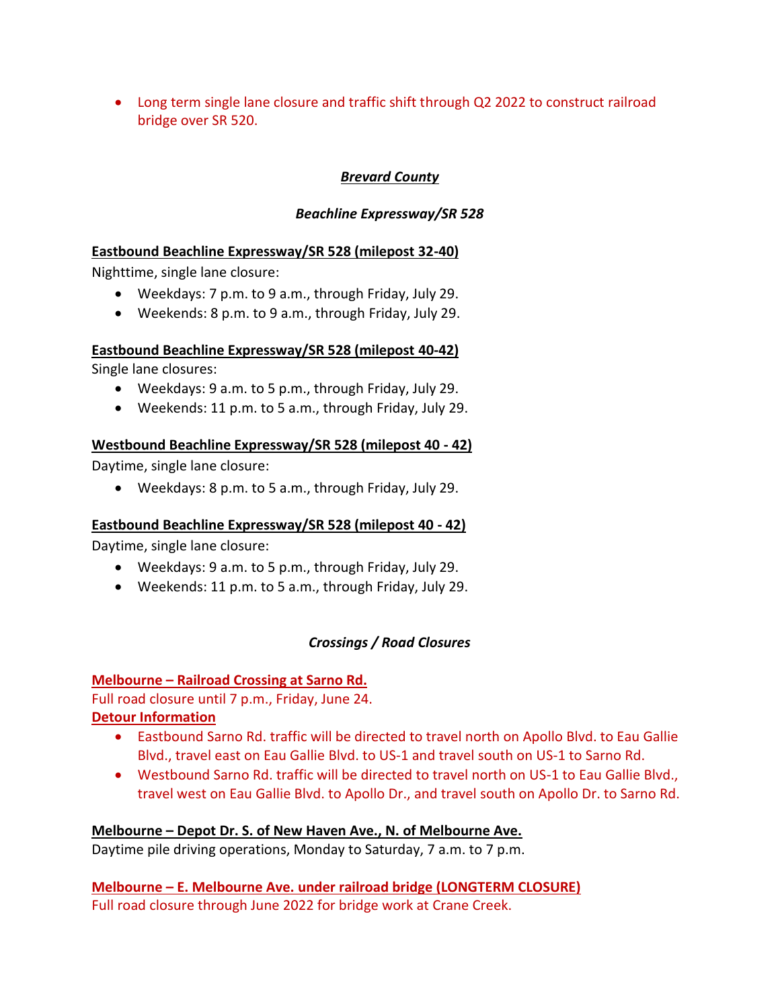• Long term single lane closure and traffic shift through Q2 2022 to construct railroad bridge over SR 520.

# *Brevard County*

### *Beachline Expressway/SR 528*

### **Eastbound Beachline Expressway/SR 528 (milepost 32-40)**

Nighttime, single lane closure:

- Weekdays: 7 p.m. to 9 a.m., through Friday, July 29.
- Weekends: 8 p.m. to 9 a.m., through Friday, July 29.

### **Eastbound Beachline Expressway/SR 528 (milepost 40-42)**

Single lane closures:

- Weekdays: 9 a.m. to 5 p.m., through Friday, July 29.
- Weekends: 11 p.m. to 5 a.m., through Friday, July 29.

# **Westbound Beachline Expressway/SR 528 (milepost 40 - 42)**

Daytime, single lane closure:

• Weekdays: 8 p.m. to 5 a.m., through Friday, July 29.

### **Eastbound Beachline Expressway/SR 528 (milepost 40 - 42)**

Daytime, single lane closure:

- Weekdays: 9 a.m. to 5 p.m., through Friday, July 29.
- Weekends: 11 p.m. to 5 a.m., through Friday, July 29.

# *Crossings / Road Closures*

### **Melbourne – Railroad Crossing at Sarno Rd.**

Full road closure until 7 p.m., Friday, June 24.

# **Detour Information**

- Eastbound Sarno Rd. traffic will be directed to travel north on Apollo Blvd. to Eau Gallie Blvd., travel east on Eau Gallie Blvd. to US-1 and travel south on US-1 to Sarno Rd.
- Westbound Sarno Rd. traffic will be directed to travel north on US-1 to Eau Gallie Blvd., travel west on Eau Gallie Blvd. to Apollo Dr., and travel south on Apollo Dr. to Sarno Rd.

### **Melbourne – Depot Dr. S. of New Haven Ave., N. of Melbourne Ave.**

Daytime pile driving operations, Monday to Saturday, 7 a.m. to 7 p.m.

**Melbourne – E. Melbourne Ave. under railroad bridge (LONGTERM CLOSURE)** Full road closure through June 2022 for bridge work at Crane Creek.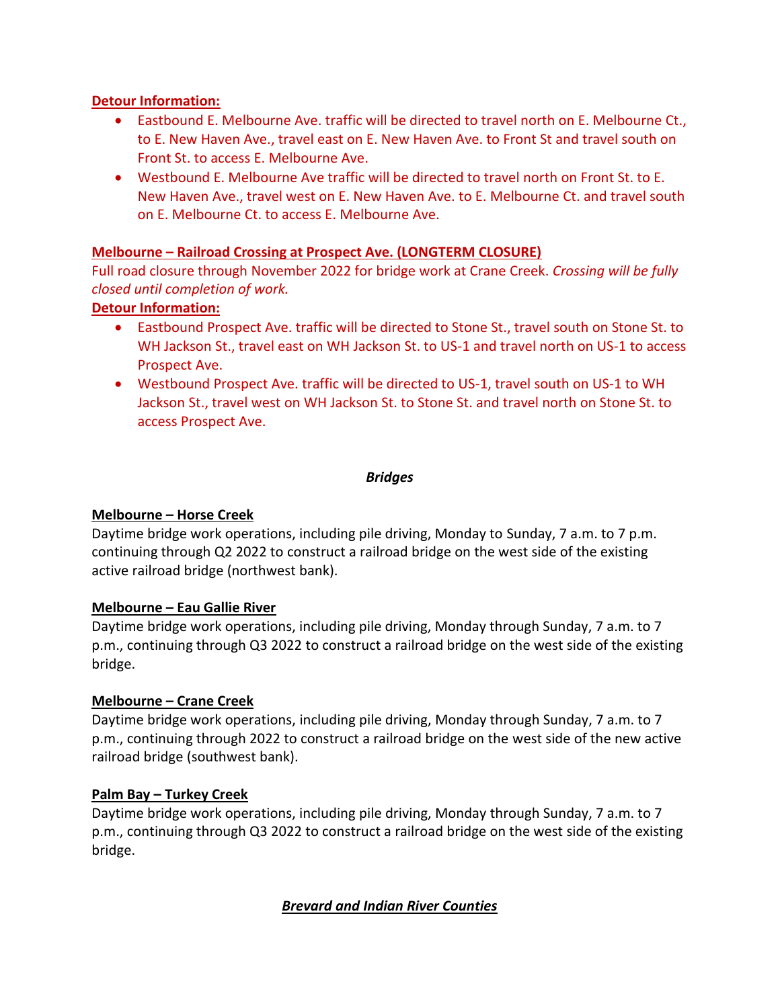#### **Detour Information:**

- Eastbound E. Melbourne Ave. traffic will be directed to travel north on E. Melbourne Ct., to E. New Haven Ave., travel east on E. New Haven Ave. to Front St and travel south on Front St. to access E. Melbourne Ave.
- Westbound E. Melbourne Ave traffic will be directed to travel north on Front St. to E. New Haven Ave., travel west on E. New Haven Ave. to E. Melbourne Ct. and travel south on E. Melbourne Ct. to access E. Melbourne Ave.

#### **Melbourne – Railroad Crossing at Prospect Ave. (LONGTERM CLOSURE)**

Full road closure through November 2022 for bridge work at Crane Creek. *Crossing will be fully closed until completion of work.*

### **Detour Information:**

- Eastbound Prospect Ave. traffic will be directed to Stone St., travel south on Stone St. to WH Jackson St., travel east on WH Jackson St. to US-1 and travel north on US-1 to access Prospect Ave.
- Westbound Prospect Ave. traffic will be directed to US-1, travel south on US-1 to WH Jackson St., travel west on WH Jackson St. to Stone St. and travel north on Stone St. to access Prospect Ave.

#### *Bridges*

#### **Melbourne – Horse Creek**

Daytime bridge work operations, including pile driving, Monday to Sunday, 7 a.m. to 7 p.m. continuing through Q2 2022 to construct a railroad bridge on the west side of the existing active railroad bridge (northwest bank).

#### **Melbourne – Eau Gallie River**

Daytime bridge work operations, including pile driving, Monday through Sunday, 7 a.m. to 7 p.m., continuing through Q3 2022 to construct a railroad bridge on the west side of the existing bridge.

#### **Melbourne – Crane Creek**

Daytime bridge work operations, including pile driving, Monday through Sunday, 7 a.m. to 7 p.m., continuing through 2022 to construct a railroad bridge on the west side of the new active railroad bridge (southwest bank).

#### **Palm Bay – Turkey Creek**

Daytime bridge work operations, including pile driving, Monday through Sunday, 7 a.m. to 7 p.m., continuing through Q3 2022 to construct a railroad bridge on the west side of the existing bridge.

### *Brevard and Indian River Counties*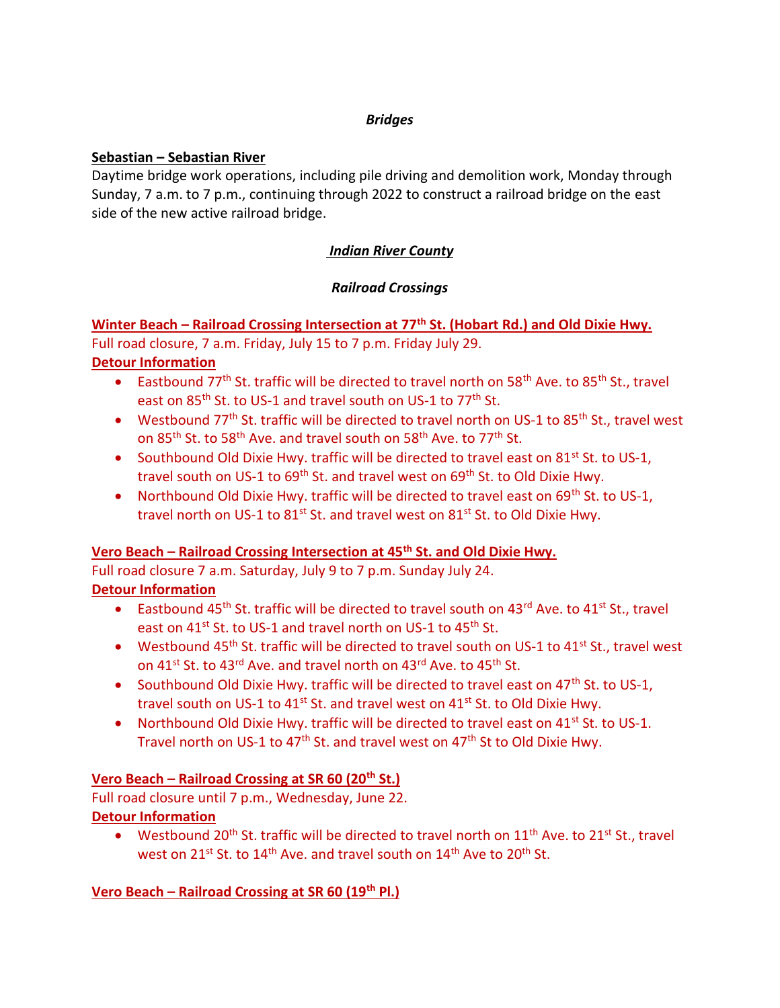### *Bridges*

# **Sebastian – Sebastian River**

Daytime bridge work operations, including pile driving and demolition work, Monday through Sunday, 7 a.m. to 7 p.m., continuing through 2022 to construct a railroad bridge on the east side of the new active railroad bridge.

# *Indian River County*

# *Railroad Crossings*

# **Winter Beach – Railroad Crossing Intersection at 77th St. (Hobart Rd.) and Old Dixie Hwy.** Full road closure, 7 a.m. Friday, July 15 to 7 p.m. Friday July 29.

# **Detour Information**

- Eastbound 77<sup>th</sup> St. traffic will be directed to travel north on 58<sup>th</sup> Ave. to 85<sup>th</sup> St., travel east on 85<sup>th</sup> St. to US-1 and travel south on US-1 to 77<sup>th</sup> St.
- Westbound 77<sup>th</sup> St. traffic will be directed to travel north on US-1 to 85<sup>th</sup> St., travel west on 85<sup>th</sup> St. to 58<sup>th</sup> Ave. and travel south on 58<sup>th</sup> Ave. to 77<sup>th</sup> St.
- Southbound Old Dixie Hwy. traffic will be directed to travel east on 81<sup>st</sup> St. to US-1, travel south on US-1 to  $69<sup>th</sup>$  St. and travel west on  $69<sup>th</sup>$  St. to Old Dixie Hwy.
- Northbound Old Dixie Hwy. traffic will be directed to travel east on 69<sup>th</sup> St. to US-1, travel north on US-1 to  $81^{st}$  St. and travel west on  $81^{st}$  St. to Old Dixie Hwy.

# **Vero Beach – Railroad Crossing Intersection at 45th St. and Old Dixie Hwy.**

Full road closure 7 a.m. Saturday, July 9 to 7 p.m. Sunday July 24. **Detour Information**

- Eastbound 45<sup>th</sup> St. traffic will be directed to travel south on 43<sup>rd</sup> Ave. to 41<sup>st</sup> St., travel east on 41<sup>st</sup> St. to US-1 and travel north on US-1 to 45<sup>th</sup> St.
- Westbound 45<sup>th</sup> St. traffic will be directed to travel south on US-1 to 41<sup>st</sup> St., travel west on 41<sup>st</sup> St. to 43<sup>rd</sup> Ave. and travel north on 43<sup>rd</sup> Ave. to 45<sup>th</sup> St.
- Southbound Old Dixie Hwy. traffic will be directed to travel east on 47<sup>th</sup> St. to US-1, travel south on US-1 to  $41^{st}$  St. and travel west on  $41^{st}$  St. to Old Dixie Hwy.
- Northbound Old Dixie Hwy. traffic will be directed to travel east on 41<sup>st</sup> St. to US-1. Travel north on US-1 to 47<sup>th</sup> St. and travel west on 47<sup>th</sup> St to Old Dixie Hwy.

# **Vero Beach – Railroad Crossing at SR 60 (20th St.)**

Full road closure until 7 p.m., Wednesday, June 22. **Detour Information**

• Westbound 20<sup>th</sup> St. traffic will be directed to travel north on  $11<sup>th</sup>$  Ave. to 21<sup>st</sup> St., travel west on 21<sup>st</sup> St. to 14<sup>th</sup> Ave. and travel south on 14<sup>th</sup> Ave to 20<sup>th</sup> St.

# **Vero Beach – Railroad Crossing at SR 60 (19th Pl.)**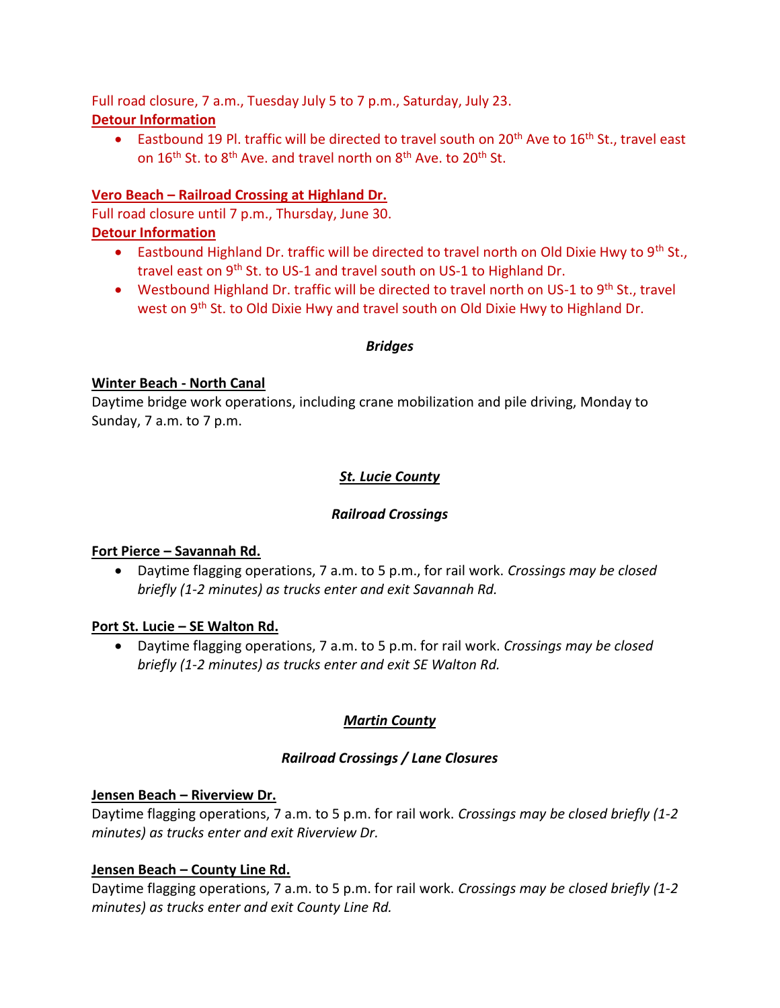Full road closure, 7 a.m., Tuesday July 5 to 7 p.m., Saturday, July 23. **Detour Information**

• Eastbound 19 Pl. traffic will be directed to travel south on 20<sup>th</sup> Ave to 16<sup>th</sup> St., travel east on 16<sup>th</sup> St. to 8<sup>th</sup> Ave. and travel north on 8<sup>th</sup> Ave. to 20<sup>th</sup> St.

### **Vero Beach – Railroad Crossing at Highland Dr.**

Full road closure until 7 p.m., Thursday, June 30.

#### **Detour Information**

- Eastbound Highland Dr. traffic will be directed to travel north on Old Dixie Hwy to 9<sup>th</sup> St., travel east on 9<sup>th</sup> St. to US-1 and travel south on US-1 to Highland Dr.
- Westbound Highland Dr. traffic will be directed to travel north on US-1 to 9<sup>th</sup> St., travel west on 9<sup>th</sup> St. to Old Dixie Hwy and travel south on Old Dixie Hwy to Highland Dr.

#### *Bridges*

#### **Winter Beach - North Canal**

Daytime bridge work operations, including crane mobilization and pile driving, Monday to Sunday, 7 a.m. to 7 p.m.

### *St. Lucie County*

### *Railroad Crossings*

#### **Fort Pierce – Savannah Rd.**

• Daytime flagging operations, 7 a.m. to 5 p.m., for rail work. *Crossings may be closed briefly (1-2 minutes) as trucks enter and exit Savannah Rd.*

#### **Port St. Lucie – SE Walton Rd.**

• Daytime flagging operations, 7 a.m. to 5 p.m. for rail work. *Crossings may be closed briefly (1-2 minutes) as trucks enter and exit SE Walton Rd.*

### *Martin County*

#### *Railroad Crossings / Lane Closures*

#### **Jensen Beach – Riverview Dr.**

Daytime flagging operations, 7 a.m. to 5 p.m. for rail work. *Crossings may be closed briefly (1-2 minutes) as trucks enter and exit Riverview Dr.*

### **Jensen Beach – County Line Rd.**

Daytime flagging operations, 7 a.m. to 5 p.m. for rail work. *Crossings may be closed briefly (1-2 minutes) as trucks enter and exit County Line Rd.*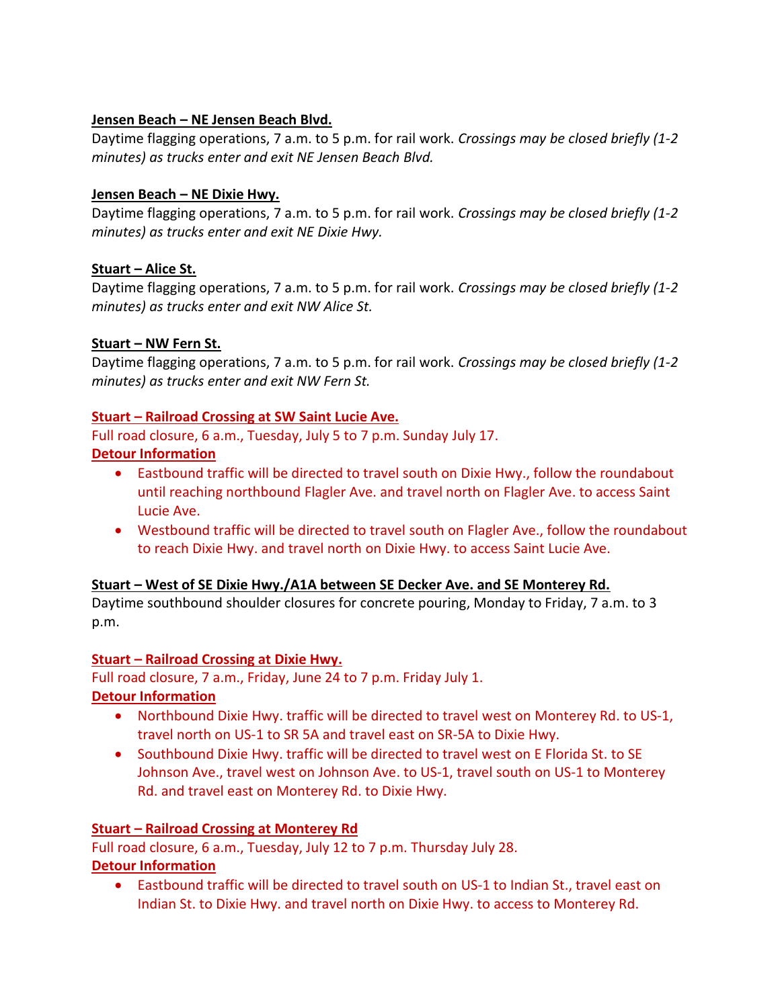#### **Jensen Beach – NE Jensen Beach Blvd.**

Daytime flagging operations, 7 a.m. to 5 p.m. for rail work. *Crossings may be closed briefly (1-2 minutes) as trucks enter and exit NE Jensen Beach Blvd.*

#### **Jensen Beach – NE Dixie Hwy.**

Daytime flagging operations, 7 a.m. to 5 p.m. for rail work. *Crossings may be closed briefly (1-2 minutes) as trucks enter and exit NE Dixie Hwy.*

### **Stuart – Alice St.**

Daytime flagging operations, 7 a.m. to 5 p.m. for rail work. *Crossings may be closed briefly (1-2 minutes) as trucks enter and exit NW Alice St.*

### **Stuart – NW Fern St.**

Daytime flagging operations, 7 a.m. to 5 p.m. for rail work. *Crossings may be closed briefly (1-2 minutes) as trucks enter and exit NW Fern St.*

### **Stuart – Railroad Crossing at SW Saint Lucie Ave.**

Full road closure, 6 a.m., Tuesday, July 5 to 7 p.m. Sunday July 17.

### **Detour Information**

- Eastbound traffic will be directed to travel south on Dixie Hwy., follow the roundabout until reaching northbound Flagler Ave. and travel north on Flagler Ave. to access Saint Lucie Ave.
- Westbound traffic will be directed to travel south on Flagler Ave., follow the roundabout to reach Dixie Hwy. and travel north on Dixie Hwy. to access Saint Lucie Ave.

### **Stuart – West of SE Dixie Hwy./A1A between SE Decker Ave. and SE Monterey Rd.**

Daytime southbound shoulder closures for concrete pouring, Monday to Friday, 7 a.m. to 3 p.m.

### **Stuart – Railroad Crossing at Dixie Hwy.**

Full road closure, 7 a.m., Friday, June 24 to 7 p.m. Friday July 1.

# **Detour Information**

- Northbound Dixie Hwy. traffic will be directed to travel west on Monterey Rd. to US-1, travel north on US-1 to SR 5A and travel east on SR-5A to Dixie Hwy.
- Southbound Dixie Hwy. traffic will be directed to travel west on E Florida St. to SE Johnson Ave., travel west on Johnson Ave. to US-1, travel south on US-1 to Monterey Rd. and travel east on Monterey Rd. to Dixie Hwy.

# **Stuart – Railroad Crossing at Monterey Rd**

Full road closure, 6 a.m., Tuesday, July 12 to 7 p.m. Thursday July 28. **Detour Information**

• Eastbound traffic will be directed to travel south on US-1 to Indian St., travel east on Indian St. to Dixie Hwy. and travel north on Dixie Hwy. to access to Monterey Rd.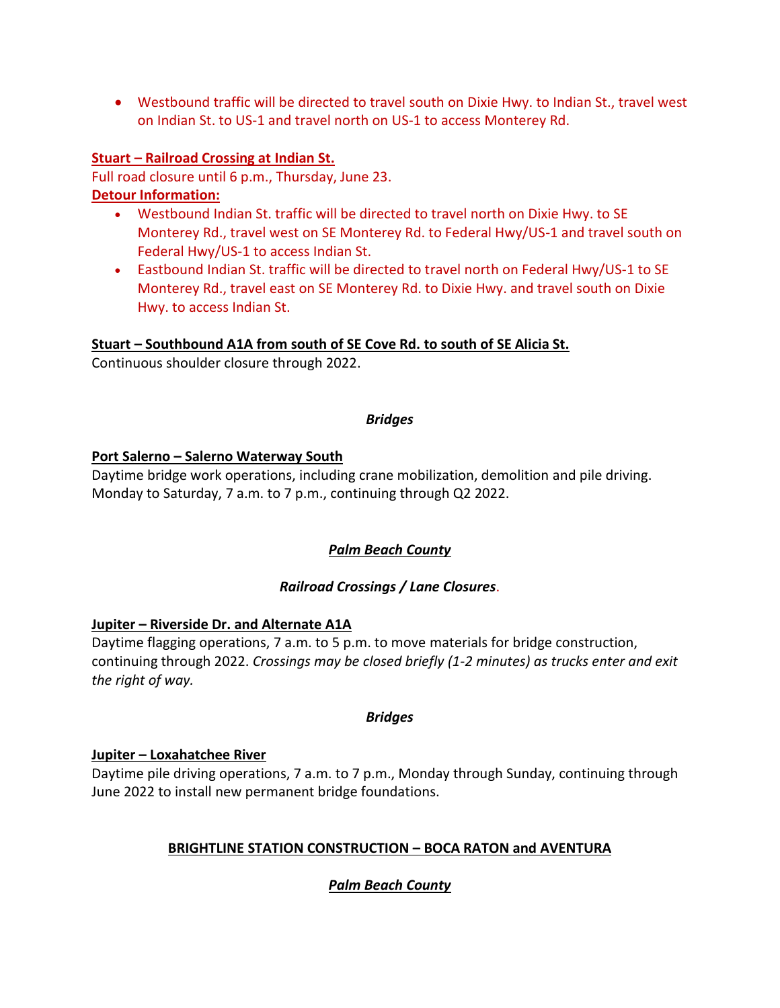• Westbound traffic will be directed to travel south on Dixie Hwy. to Indian St., travel west on Indian St. to US-1 and travel north on US-1 to access Monterey Rd.

### **Stuart – Railroad Crossing at Indian St.**

Full road closure until 6 p.m., Thursday, June 23. **Detour Information:**

- Westbound Indian St. traffic will be directed to travel north on Dixie Hwy. to SE Monterey Rd., travel west on SE Monterey Rd. to Federal Hwy/US-1 and travel south on Federal Hwy/US-1 to access Indian St.
- Eastbound Indian St. traffic will be directed to travel north on Federal Hwy/US-1 to SE Monterey Rd., travel east on SE Monterey Rd. to Dixie Hwy. and travel south on Dixie Hwy. to access Indian St.

#### **Stuart – Southbound A1A from south of SE Cove Rd. to south of SE Alicia St.**

Continuous shoulder closure through 2022.

#### *Bridges*

#### **Port Salerno – Salerno Waterway South**

Daytime bridge work operations, including crane mobilization, demolition and pile driving. Monday to Saturday, 7 a.m. to 7 p.m., continuing through Q2 2022.

### *Palm Beach County*

### *Railroad Crossings / Lane Closures*.

### **Jupiter – Riverside Dr. and Alternate A1A**

Daytime flagging operations, 7 a.m. to 5 p.m. to move materials for bridge construction, continuing through 2022. *Crossings may be closed briefly (1-2 minutes) as trucks enter and exit the right of way.*

#### *Bridges*

#### **Jupiter – Loxahatchee River**

Daytime pile driving operations, 7 a.m. to 7 p.m., Monday through Sunday, continuing through June 2022 to install new permanent bridge foundations.

# **BRIGHTLINE STATION CONSTRUCTION – BOCA RATON and AVENTURA**

# *Palm Beach County*